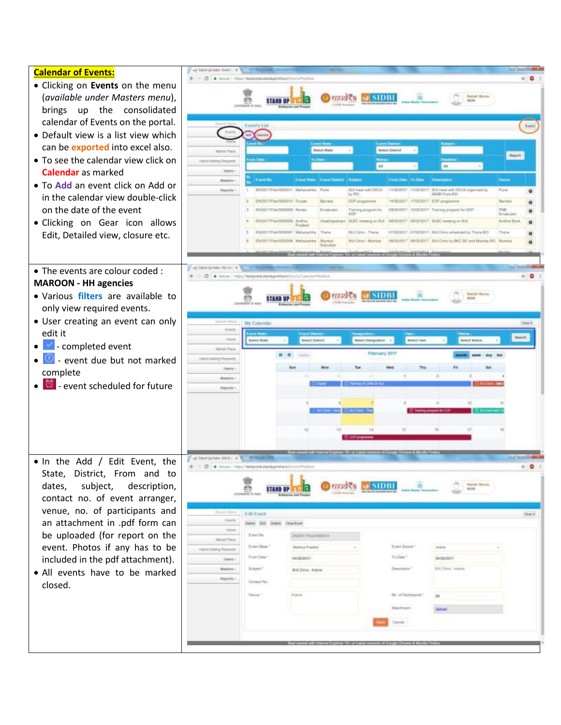